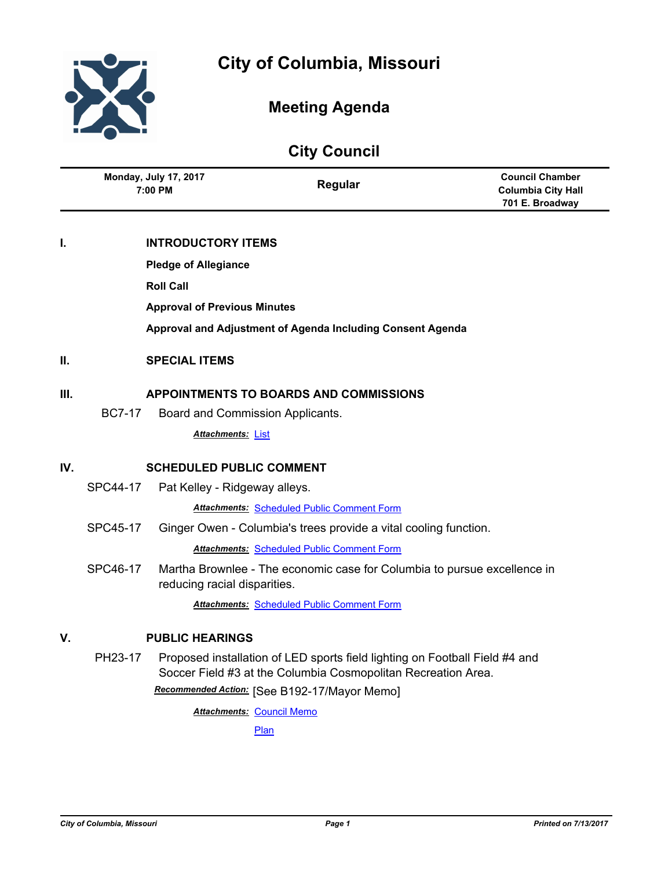

# **Meeting Agenda**

# **City Council**

| <b>Monday, July 17, 2017</b><br>7:00 PM | Regular | <b>Council Chamber</b><br><b>Columbia City Hall</b><br>701 E. Broadway |
|-----------------------------------------|---------|------------------------------------------------------------------------|
|                                         |         |                                                                        |

## **I. INTRODUCTORY ITEMS**

**Pledge of Allegiance**

**Roll Call**

**Approval of Previous Minutes**

**Approval and Adjustment of Agenda Including Consent Agenda**

## **II. SPECIAL ITEMS**

## **III. APPOINTMENTS TO BOARDS AND COMMISSIONS**

BC7-17 Board and Commission Applicants.

*Attachments:* [List](http://gocolumbiamo.legistar.com/gateway.aspx?M=F&ID=b1c75c7a-6216-4bc7-9ae8-dd63474aad4b.pdf)

## **IV. SCHEDULED PUBLIC COMMENT**

SPC44-17 Pat Kelley - Ridgeway alleys.

*Attachments:* [Scheduled Public Comment Form](http://gocolumbiamo.legistar.com/gateway.aspx?M=F&ID=e16cf1a1-9d2a-4fde-8995-7979b0208e79.pdf)

SPC45-17 Ginger Owen - Columbia's trees provide a vital cooling function.

*Attachments:* [Scheduled Public Comment Form](http://gocolumbiamo.legistar.com/gateway.aspx?M=F&ID=f91f5175-9972-4426-a3d0-4ca53878f458.pdf)

SPC46-17 Martha Brownlee - The economic case for Columbia to pursue excellence in reducing racial disparities.

*Attachments:* [Scheduled Public Comment Form](http://gocolumbiamo.legistar.com/gateway.aspx?M=F&ID=80910d15-5b8c-43f2-b705-949ad9373a0a.pdf)

## **V. PUBLIC HEARINGS**

PH23-17 Proposed installation of LED sports field lighting on Football Field #4 and Soccer Field #3 at the Columbia Cosmopolitan Recreation Area. *Recommended Action:* [See B192-17/Mayor Memo]

**Attachments: [Council Memo](http://gocolumbiamo.legistar.com/gateway.aspx?M=F&ID=5f122965-cb7f-429c-aafc-780ef1cc9549.docx)** 

[Plan](http://gocolumbiamo.legistar.com/gateway.aspx?M=F&ID=7ab0ce39-17ff-4439-9a6f-827ed231cd1b.pdf)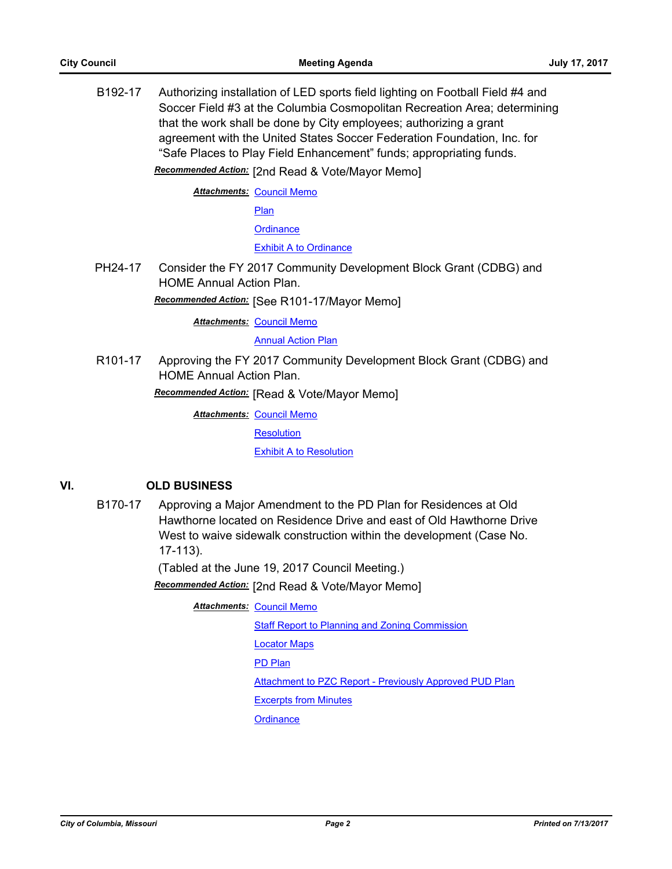B192-17 Authorizing installation of LED sports field lighting on Football Field #4 and Soccer Field #3 at the Columbia Cosmopolitan Recreation Area; determining that the work shall be done by City employees; authorizing a grant agreement with the United States Soccer Federation Foundation, Inc. for "Safe Places to Play Field Enhancement" funds; appropriating funds.

*Recommended Action:* [2nd Read & Vote/Mayor Memo]

**Attachments: [Council Memo](http://gocolumbiamo.legistar.com/gateway.aspx?M=F&ID=df5bf648-2363-4338-b659-2fda09b680d0.docx)** 

[Plan](http://gocolumbiamo.legistar.com/gateway.aspx?M=F&ID=63bee1db-0678-4494-b268-00e2cb38f14c.pdf)

**[Ordinance](http://gocolumbiamo.legistar.com/gateway.aspx?M=F&ID=fc128492-3a76-4afc-a915-269b5a482bb0.doc)** 

#### [Exhibit A to Ordinance](http://gocolumbiamo.legistar.com/gateway.aspx?M=F&ID=b83d01a2-6248-473a-b3a7-a96ab79a9df6.doc)

PH24-17 Consider the FY 2017 Community Development Block Grant (CDBG) and HOME Annual Action Plan.

*Recommended Action:* [See R101-17/Mayor Memo]

**Attachments: [Council Memo](http://gocolumbiamo.legistar.com/gateway.aspx?M=F&ID=fc7d79cf-3c6a-4b07-ac6a-b66229d6403f.docx)** 

### **[Annual Action Plan](http://gocolumbiamo.legistar.com/gateway.aspx?M=F&ID=318cb0b8-cce0-4778-98df-89a2c5b4456e.pdf)**

R101-17 Approving the FY 2017 Community Development Block Grant (CDBG) and HOME Annual Action Plan.

*Recommended Action:* [Read & Vote/Mayor Memo]

**Attachments: [Council Memo](http://gocolumbiamo.legistar.com/gateway.aspx?M=F&ID=b893d48a-fe6a-47c4-b60f-751196d9a557.docx)** 

**[Resolution](http://gocolumbiamo.legistar.com/gateway.aspx?M=F&ID=5b9d4f4d-4daf-4daf-88d5-9828c2f2d10c.doc)** 

[Exhibit A to Resolution](http://gocolumbiamo.legistar.com/gateway.aspx?M=F&ID=a1869bd6-1b3d-408e-9b5f-397bb32bbefb.pdf)

## **VI. OLD BUSINESS**

B170-17 Approving a Major Amendment to the PD Plan for Residences at Old Hawthorne located on Residence Drive and east of Old Hawthorne Drive West to waive sidewalk construction within the development (Case No. 17-113).

(Tabled at the June 19, 2017 Council Meeting.)

*Recommended Action:* [2nd Read & Vote/Mayor Memo]

**Attachments: [Council Memo](http://gocolumbiamo.legistar.com/gateway.aspx?M=F&ID=8f2b59ff-544a-4110-bcc1-5ac62760970d.docx)** 

[Staff Report to Planning and Zoning Commission](http://gocolumbiamo.legistar.com/gateway.aspx?M=F&ID=e8475df7-43a8-447a-b7b1-16c0a260047f.docx) [Locator Maps](http://gocolumbiamo.legistar.com/gateway.aspx?M=F&ID=f303cfe6-ee8c-4253-94bb-c6bc4702ee21.pdf)

[PD Plan](http://gocolumbiamo.legistar.com/gateway.aspx?M=F&ID=bd01432c-918a-4d0f-bf70-7f9a17f8abfb.pdf)

[Attachment to PZC Report - Previously Approved PUD Plan](http://gocolumbiamo.legistar.com/gateway.aspx?M=F&ID=f6c35042-1b2b-48a5-a221-0339d624ab71.pdf)

[Excerpts from Minutes](http://gocolumbiamo.legistar.com/gateway.aspx?M=F&ID=765e99c2-0f76-4b90-ac70-7f2937608165.pdf)

**[Ordinance](http://gocolumbiamo.legistar.com/gateway.aspx?M=F&ID=474e8c1e-5ac1-49e9-8c6a-ef5d1a1f3918.doc)**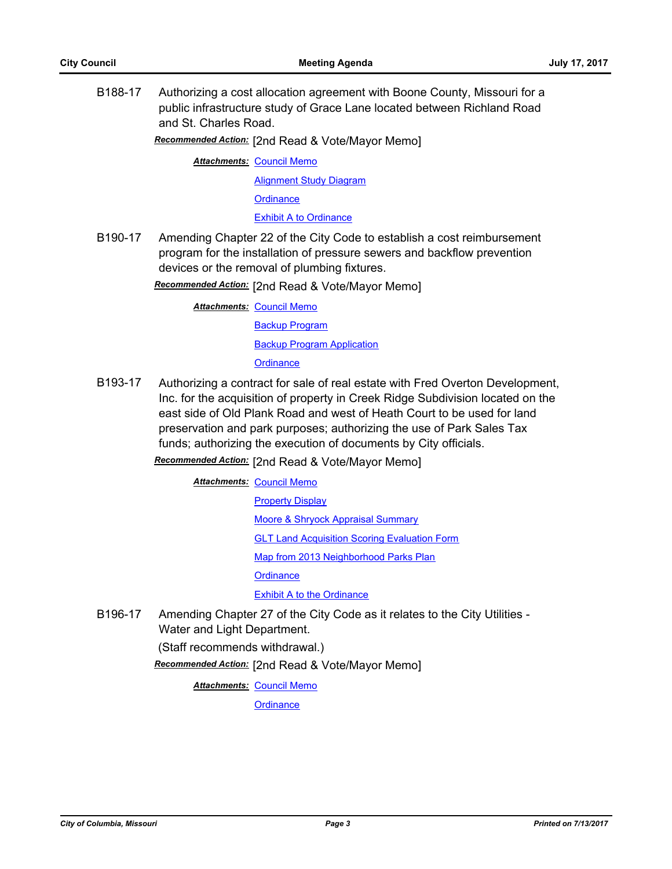B188-17 Authorizing a cost allocation agreement with Boone County, Missouri for a public infrastructure study of Grace Lane located between Richland Road and St. Charles Road.

*Recommended Action:* [2nd Read & Vote/Mayor Memo]

**Attachments: [Council Memo](http://gocolumbiamo.legistar.com/gateway.aspx?M=F&ID=650d1061-2be7-459f-a6b9-498170db4100.docx)** [Alignment Study Diagram](http://gocolumbiamo.legistar.com/gateway.aspx?M=F&ID=953db00b-6d5c-49ea-bf29-d6192d2c5e13.pdf) **[Ordinance](http://gocolumbiamo.legistar.com/gateway.aspx?M=F&ID=8216e0ad-6651-4f7e-9926-82f7a2b9cc1f.doc)** [Exhibit A to Ordinance](http://gocolumbiamo.legistar.com/gateway.aspx?M=F&ID=de8a94ad-0916-44da-a47b-dc0ea33973dc.pdf)

B190-17 Amending Chapter 22 of the City Code to establish a cost reimbursement program for the installation of pressure sewers and backflow prevention devices or the removal of plumbing fixtures.

*Recommended Action:* [2nd Read & Vote/Mayor Memo]

**Attachments: [Council Memo](http://gocolumbiamo.legistar.com/gateway.aspx?M=F&ID=067dba9c-8c5d-409d-bf58-036c660cffe1.docx)** [Backup Program](http://gocolumbiamo.legistar.com/gateway.aspx?M=F&ID=62b087f2-3593-46ab-a12e-9806caa6448c.docx) **[Backup Program Application](http://gocolumbiamo.legistar.com/gateway.aspx?M=F&ID=f59af23b-da31-4063-9662-f39346dae0f2.docx) [Ordinance](http://gocolumbiamo.legistar.com/gateway.aspx?M=F&ID=6156b1ef-99be-4e9d-8bf3-9e2bfbc8addb.doc)** 

B193-17 Authorizing a contract for sale of real estate with Fred Overton Development, Inc. for the acquisition of property in Creek Ridge Subdivision located on the east side of Old Plank Road and west of Heath Court to be used for land preservation and park purposes; authorizing the use of Park Sales Tax funds; authorizing the execution of documents by City officials.

*Recommended Action:* [2nd Read & Vote/Mayor Memo]

**Attachments: [Council Memo](http://gocolumbiamo.legistar.com/gateway.aspx?M=F&ID=64e8fbf5-5fb5-4c2f-a5a1-725d6c91debd.docx)** [Property Display](http://gocolumbiamo.legistar.com/gateway.aspx?M=F&ID=4f97eb2d-4c35-48ba-b2a1-566a749d3961.pdf) [Moore & Shryock Appraisal Summary](http://gocolumbiamo.legistar.com/gateway.aspx?M=F&ID=4bab0b0c-7195-4404-9cb0-ef28d2a0b006.pdf) **[GLT Land Acquisition Scoring Evaluation Form](http://gocolumbiamo.legistar.com/gateway.aspx?M=F&ID=88bd6692-963c-49a4-906d-398cdbe9f3fc.pdf)** [Map from 2013 Neighborhood Parks Plan](http://gocolumbiamo.legistar.com/gateway.aspx?M=F&ID=e22ef47c-1417-4ef8-b348-28fc7634f617.jpg) **[Ordinance](http://gocolumbiamo.legistar.com/gateway.aspx?M=F&ID=d253dec3-1b1a-4932-8a13-404df7c2dd13.doc) [Exhibit A to the Ordinance](http://gocolumbiamo.legistar.com/gateway.aspx?M=F&ID=31299382-5e2d-4383-9bb1-ba219360493b.pdf)** 

B196-17 Amending Chapter 27 of the City Code as it relates to the City Utilities - Water and Light Department.

(Staff recommends withdrawal.)

*Recommended Action:* [2nd Read & Vote/Mayor Memo]

**Attachments: [Council Memo](http://gocolumbiamo.legistar.com/gateway.aspx?M=F&ID=8648717b-43e3-4c20-b409-07631d6d0842.docx)** 

**[Ordinance](http://gocolumbiamo.legistar.com/gateway.aspx?M=F&ID=663f0a70-41d7-45c1-a8d6-bf9d946f0fa8.doc)**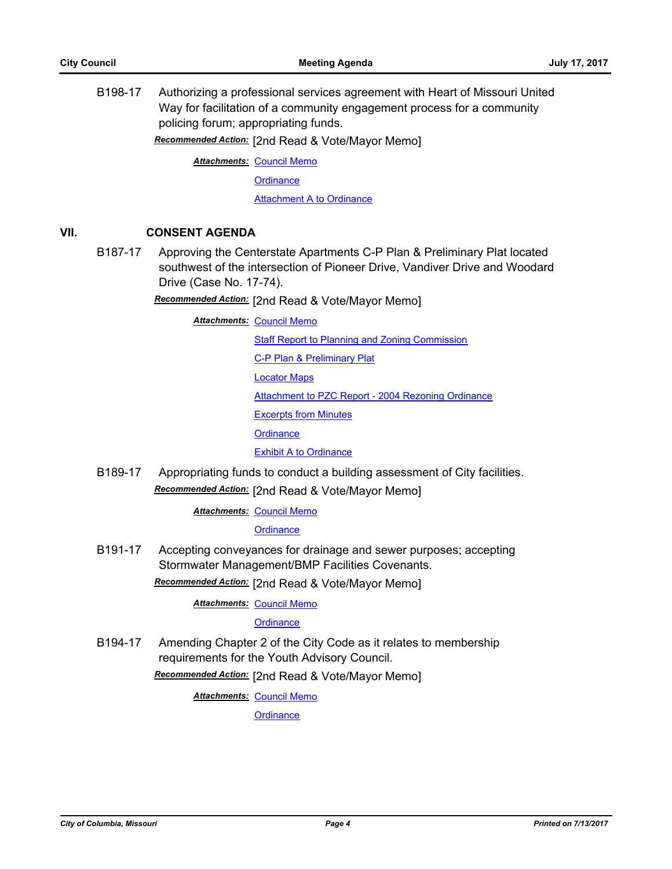B198-17 Authorizing a professional services agreement with Heart of Missouri United Way for facilitation of a community engagement process for a community policing forum; appropriating funds.

*Recommended Action:* [2nd Read & Vote/Mayor Memo]

**Attachments: [Council Memo](http://gocolumbiamo.legistar.com/gateway.aspx?M=F&ID=1bcb56b8-c28e-4dc7-8aa0-acb3afbbdb4d.docx)** 

**[Ordinance](http://gocolumbiamo.legistar.com/gateway.aspx?M=F&ID=5f578436-b1c8-4bbb-856b-80894202aadf.doc)** 

**[Attachment A to Ordinance](http://gocolumbiamo.legistar.com/gateway.aspx?M=F&ID=763c1bd8-6cdd-4d99-a35e-0e627eaad1b4.pdf)** 

### **VII. CONSENT AGENDA**

B187-17 Approving the Centerstate Apartments C-P Plan & Preliminary Plat located southwest of the intersection of Pioneer Drive, Vandiver Drive and Woodard Drive (Case No. 17-74).

*Recommended Action:* [2nd Read & Vote/Mayor Memo]

**Attachments: [Council Memo](http://gocolumbiamo.legistar.com/gateway.aspx?M=F&ID=bedb9221-3d65-449e-8653-89b57e4a6ff2.docx)** 

[Staff Report to Planning and Zoning Commission](http://gocolumbiamo.legistar.com/gateway.aspx?M=F&ID=5b77a0f8-bfb2-4e4b-b6ca-bfa9e0f45332.docx)

[C-P Plan & Preliminary Plat](http://gocolumbiamo.legistar.com/gateway.aspx?M=F&ID=a1164b11-0bb0-480d-879a-48d9cf4ad0a4.pdf)

[Locator Maps](http://gocolumbiamo.legistar.com/gateway.aspx?M=F&ID=735f406c-5282-45a5-8bb0-15ab40caa061.pdf)

[Attachment to PZC Report - 2004 Rezoning Ordinance](http://gocolumbiamo.legistar.com/gateway.aspx?M=F&ID=f7d89f49-0590-4620-822a-1dd869cefbbb.pdf)

[Excerpts from Minutes](http://gocolumbiamo.legistar.com/gateway.aspx?M=F&ID=9514bd98-a48b-4f9a-9dac-dadaca1ef432.docx)

**[Ordinance](http://gocolumbiamo.legistar.com/gateway.aspx?M=F&ID=fa1f6835-2a2f-4801-a213-7ba5c6456b85.doc)** 

[Exhibit A to Ordinance](http://gocolumbiamo.legistar.com/gateway.aspx?M=F&ID=e59d4994-2383-4a85-8ac6-31f5b992c63b.pdf)

B189-17 Appropriating funds to conduct a building assessment of City facilities. *Recommended Action:* [2nd Read & Vote/Mayor Memo]

**Attachments: [Council Memo](http://gocolumbiamo.legistar.com/gateway.aspx?M=F&ID=a2ace27c-447c-4532-b449-c8fafd5c840b.docx)** 

**[Ordinance](http://gocolumbiamo.legistar.com/gateway.aspx?M=F&ID=58e06b8e-3e33-4f1d-88c9-9c40abcba28e.doc)** 

B191-17 Accepting conveyances for drainage and sewer purposes; accepting Stormwater Management/BMP Facilities Covenants.

*Recommended Action:* [2nd Read & Vote/Mayor Memo]

**Attachments: [Council Memo](http://gocolumbiamo.legistar.com/gateway.aspx?M=F&ID=1c594a32-d972-4432-b83e-cb153f76f76f.docx)** 

**[Ordinance](http://gocolumbiamo.legistar.com/gateway.aspx?M=F&ID=6200e231-1181-4100-ac13-6f24069bdbd4.doc)** 

B194-17 Amending Chapter 2 of the City Code as it relates to membership requirements for the Youth Advisory Council.

*Recommended Action:* [2nd Read & Vote/Mayor Memo]

**Attachments: [Council Memo](http://gocolumbiamo.legistar.com/gateway.aspx?M=F&ID=d64eb160-9c44-4e92-88ee-52bb2c880272.docx)** 

**[Ordinance](http://gocolumbiamo.legistar.com/gateway.aspx?M=F&ID=3b334f1e-6b22-4ac9-ba7e-31dcbe781c66.doc)**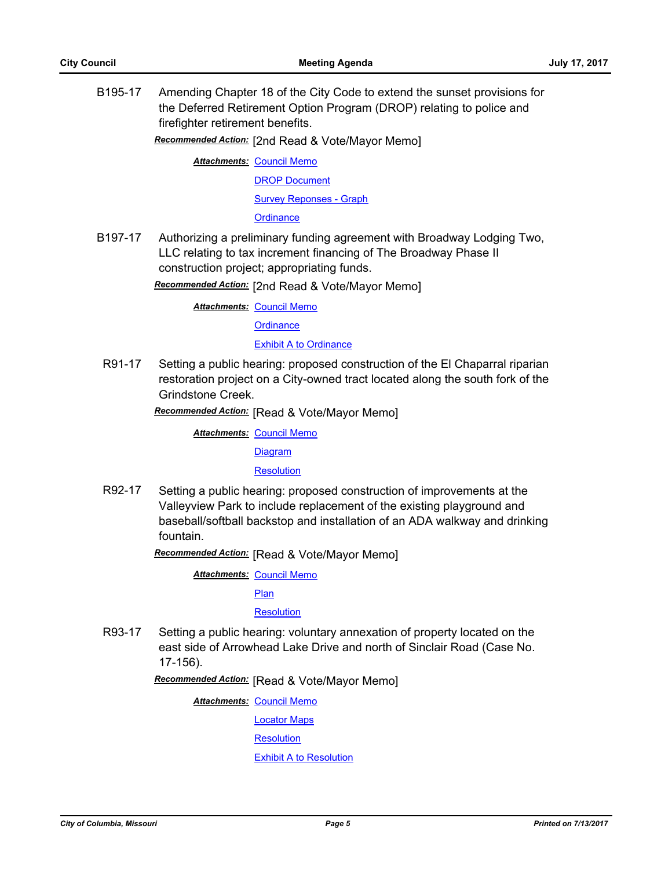B195-17 Amending Chapter 18 of the City Code to extend the sunset provisions for the Deferred Retirement Option Program (DROP) relating to police and firefighter retirement benefits.

*Recommended Action:* [2nd Read & Vote/Mayor Memo]

**Attachments: [Council Memo](http://gocolumbiamo.legistar.com/gateway.aspx?M=F&ID=e69a4c23-bb36-4bcd-bfd1-53b7633011b8.docx)** [DROP Document](http://gocolumbiamo.legistar.com/gateway.aspx?M=F&ID=fb9feadb-4f3e-41c9-91a4-627449a0d647.pdf) [Survey Reponses - Graph](http://gocolumbiamo.legistar.com/gateway.aspx?M=F&ID=f47c56ec-4e1c-42b7-bffa-c7a33cd7c72a.pdf)

**[Ordinance](http://gocolumbiamo.legistar.com/gateway.aspx?M=F&ID=8586500b-562f-4ac8-a873-b8cca8d9feb3.doc)** 

B197-17 Authorizing a preliminary funding agreement with Broadway Lodging Two, LLC relating to tax increment financing of The Broadway Phase II construction project; appropriating funds.

*Recommended Action:* [2nd Read & Vote/Mayor Memo]

**Attachments: [Council Memo](http://gocolumbiamo.legistar.com/gateway.aspx?M=F&ID=6f929646-b679-47fd-8a6d-8a76987bf08a.docx)** 

**[Ordinance](http://gocolumbiamo.legistar.com/gateway.aspx?M=F&ID=ffd3736e-b711-4c1d-ac24-d3a09787d605.doc)** 

**[Exhibit A to Ordinance](http://gocolumbiamo.legistar.com/gateway.aspx?M=F&ID=87aee489-44b7-4958-834f-4b287ca344be.docx)** 

R91-17 Setting a public hearing: proposed construction of the El Chaparral riparian restoration project on a City-owned tract located along the south fork of the Grindstone Creek.

*Recommended Action:* [Read & Vote/Mayor Memo]

**Attachments: [Council Memo](http://gocolumbiamo.legistar.com/gateway.aspx?M=F&ID=35cbe085-45e2-45a7-a126-beef9d40be76.docx)** [Diagram](http://gocolumbiamo.legistar.com/gateway.aspx?M=F&ID=86d1c210-4c24-4322-8307-40ce2d053c2f.pdf)

**[Resolution](http://gocolumbiamo.legistar.com/gateway.aspx?M=F&ID=9f3e5611-1a1c-464b-9c62-731de1f4d109.doc)** 

R92-17 Setting a public hearing: proposed construction of improvements at the Valleyview Park to include replacement of the existing playground and baseball/softball backstop and installation of an ADA walkway and drinking fountain.

*Recommended Action:* [Read & Vote/Mayor Memo]

**Attachments: [Council Memo](http://gocolumbiamo.legistar.com/gateway.aspx?M=F&ID=6dcd3bf6-5f09-4575-ab2c-a6920fceba16.docx)** 

[Plan](http://gocolumbiamo.legistar.com/gateway.aspx?M=F&ID=f9286339-4c1d-4a34-b16c-6b870892e2d8.pdf)

**[Resolution](http://gocolumbiamo.legistar.com/gateway.aspx?M=F&ID=87095d0e-e69b-4c42-9ac4-b7f2a6a0fc24.doc)** 

R93-17 Setting a public hearing: voluntary annexation of property located on the east side of Arrowhead Lake Drive and north of Sinclair Road (Case No. 17-156).

*Recommended Action:* [Read & Vote/Mayor Memo]

**Attachments: [Council Memo](http://gocolumbiamo.legistar.com/gateway.aspx?M=F&ID=068447fd-85cd-439b-83aa-84613e41fcf3.docx)** 

[Locator Maps](http://gocolumbiamo.legistar.com/gateway.aspx?M=F&ID=f7538b53-cb6b-4cd0-b950-351efa3d20b6.pdf)

**[Resolution](http://gocolumbiamo.legistar.com/gateway.aspx?M=F&ID=84382b13-19c9-4f88-b99c-bed27be21972.doc)** 

[Exhibit A to Resolution](http://gocolumbiamo.legistar.com/gateway.aspx?M=F&ID=6b179fd9-c997-4f23-b266-4eccdd083b96.pdf)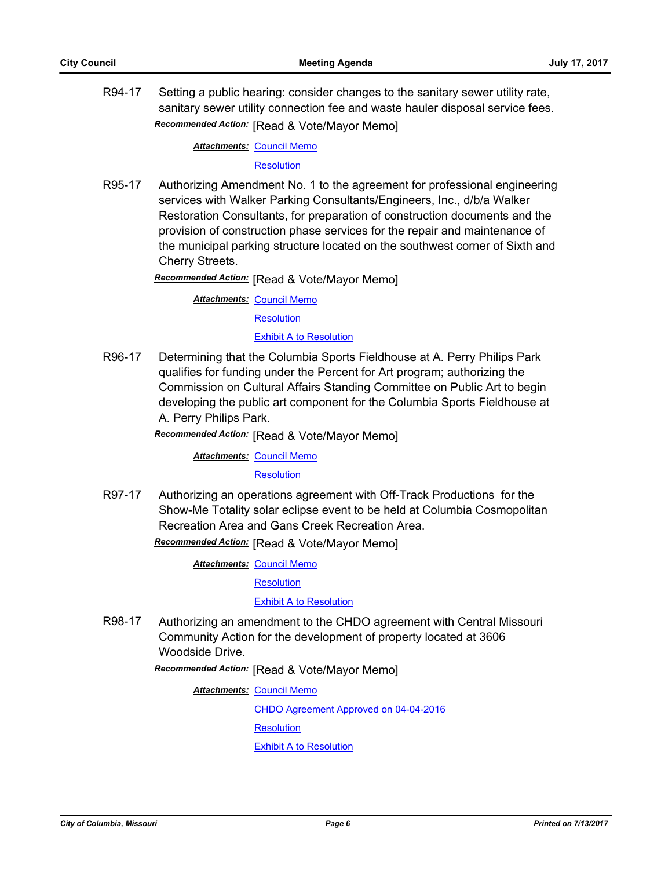R94-17 Setting a public hearing: consider changes to the sanitary sewer utility rate, sanitary sewer utility connection fee and waste hauler disposal service fees. *Recommended Action:* [Read & Vote/Mayor Memo]

#### **Attachments: [Council Memo](http://gocolumbiamo.legistar.com/gateway.aspx?M=F&ID=b8df6e1a-a39a-4de5-b7ef-ed560702a705.docx)**

#### **[Resolution](http://gocolumbiamo.legistar.com/gateway.aspx?M=F&ID=4dc0263f-6487-4338-8e0d-2a6666d83234.doc)**

R95-17 Authorizing Amendment No. 1 to the agreement for professional engineering services with Walker Parking Consultants/Engineers, Inc., d/b/a Walker Restoration Consultants, for preparation of construction documents and the provision of construction phase services for the repair and maintenance of the municipal parking structure located on the southwest corner of Sixth and Cherry Streets.

*Recommended Action:* [Read & Vote/Mayor Memo]

**Attachments: [Council Memo](http://gocolumbiamo.legistar.com/gateway.aspx?M=F&ID=9818fd06-a74d-4024-b905-71474b04714b.docx)** 

**[Resolution](http://gocolumbiamo.legistar.com/gateway.aspx?M=F&ID=ffbe5359-fb4f-4590-a89b-892a97bb2b3c.doc)** 

[Exhibit A to Resolution](http://gocolumbiamo.legistar.com/gateway.aspx?M=F&ID=bae0a18d-a81a-4d8a-8bdb-8c6ba893e2bf.pdf)

R96-17 Determining that the Columbia Sports Fieldhouse at A. Perry Philips Park qualifies for funding under the Percent for Art program; authorizing the Commission on Cultural Affairs Standing Committee on Public Art to begin developing the public art component for the Columbia Sports Fieldhouse at A. Perry Philips Park.

*Recommended Action:* [Read & Vote/Mayor Memo]

**Attachments: [Council Memo](http://gocolumbiamo.legistar.com/gateway.aspx?M=F&ID=d49fbcc9-165b-4dd3-b4f9-bafcc886c914.docx)** 

#### **[Resolution](http://gocolumbiamo.legistar.com/gateway.aspx?M=F&ID=eb2ff748-0364-4a87-ab0c-ebe4a5786322.doc)**

R97-17 Authorizing an operations agreement with Off-Track Productions for the Show-Me Totality solar eclipse event to be held at Columbia Cosmopolitan Recreation Area and Gans Creek Recreation Area.

*Recommended Action:* [Read & Vote/Mayor Memo]

**Attachments: [Council Memo](http://gocolumbiamo.legistar.com/gateway.aspx?M=F&ID=c2b8de5e-3561-40f4-bd06-14af6d963cb5.docx)** 

**[Resolution](http://gocolumbiamo.legistar.com/gateway.aspx?M=F&ID=7083ca97-f9a2-4b23-8d63-df4f36a623d6.doc)** 

[Exhibit A to Resolution](http://gocolumbiamo.legistar.com/gateway.aspx?M=F&ID=1fcb1aa6-4d43-4d16-8d5b-b57b5509eee5.pdf)

R98-17 Authorizing an amendment to the CHDO agreement with Central Missouri Community Action for the development of property located at 3606 Woodside Drive.

*Recommended Action:* [Read & Vote/Mayor Memo]

**Attachments: [Council Memo](http://gocolumbiamo.legistar.com/gateway.aspx?M=F&ID=ea34d33d-b565-40b0-9f9d-8258077b20f8.docx)** 

[CHDO Agreement Approved on 04-04-2016](http://gocolumbiamo.legistar.com/gateway.aspx?M=F&ID=ac02f76d-0d71-42ac-8603-10ed128810db.pdf)

**[Resolution](http://gocolumbiamo.legistar.com/gateway.aspx?M=F&ID=b16a9857-2058-45c5-a2f8-694da559ec0d.doc)** 

[Exhibit A to Resolution](http://gocolumbiamo.legistar.com/gateway.aspx?M=F&ID=b5b3297c-acb3-4701-b616-54ef19a4c8ac.docx)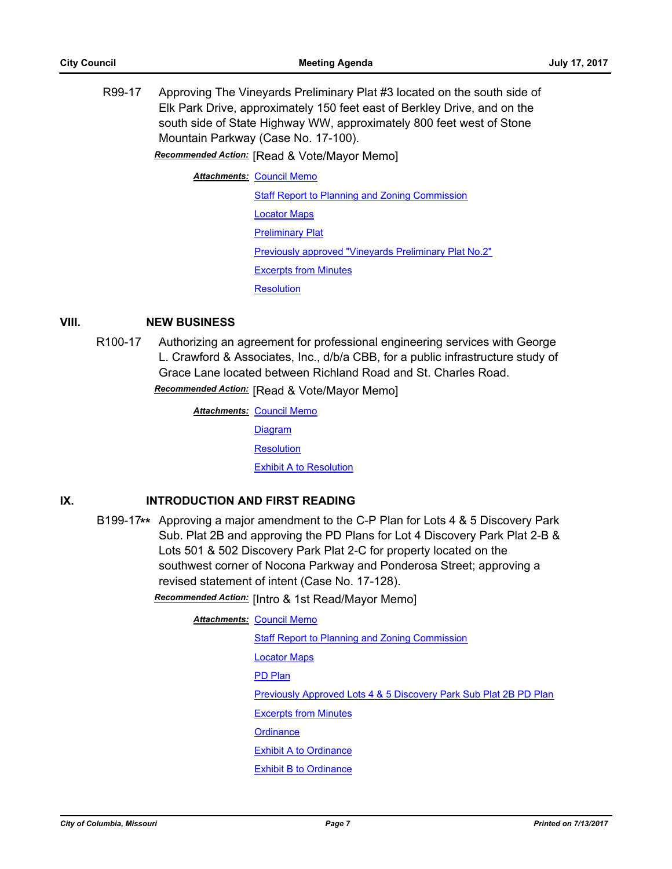R99-17 Approving The Vineyards Preliminary Plat #3 located on the south side of Elk Park Drive, approximately 150 feet east of Berkley Drive, and on the south side of State Highway WW, approximately 800 feet west of Stone Mountain Parkway (Case No. 17-100).

*Recommended Action:* [Read & Vote/Mayor Memo]

**Attachments: [Council Memo](http://gocolumbiamo.legistar.com/gateway.aspx?M=F&ID=0073aef7-dd9f-4375-a884-1fb25e0ec493.docx)** 

**[Staff Report to Planning and Zoning Commission](http://gocolumbiamo.legistar.com/gateway.aspx?M=F&ID=b3b300b6-be70-4c65-a151-85757b5cc446.pdf)** 

[Locator Maps](http://gocolumbiamo.legistar.com/gateway.aspx?M=F&ID=a11930e1-1ac0-4c1f-9449-090b80c41893.pdf)

[Preliminary Plat](http://gocolumbiamo.legistar.com/gateway.aspx?M=F&ID=dfef75b2-640c-47f8-a1ae-a6c729dde7f7.pdf)

[Previously approved "Vineyards Preliminary Plat No.2"](http://gocolumbiamo.legistar.com/gateway.aspx?M=F&ID=3e74d62c-6557-4545-bdf1-243a2102cd95.pdf)

[Excerpts from Minutes](http://gocolumbiamo.legistar.com/gateway.aspx?M=F&ID=5f8764e5-6133-438f-ba72-58adc93fc7c0.docx)

**[Resolution](http://gocolumbiamo.legistar.com/gateway.aspx?M=F&ID=47e4f5a1-ed16-4c5b-b763-db37cd3bc6dd.doc)** 

## **VIII. NEW BUSINESS**

R100-17 Authorizing an agreement for professional engineering services with George L. Crawford & Associates, Inc., d/b/a CBB, for a public infrastructure study of Grace Lane located between Richland Road and St. Charles Road.

*Recommended Action:* [Read & Vote/Mayor Memo]

**Attachments: [Council Memo](http://gocolumbiamo.legistar.com/gateway.aspx?M=F&ID=545d73df-9234-4941-9ca2-0e021cca874a.docx) [Diagram](http://gocolumbiamo.legistar.com/gateway.aspx?M=F&ID=7281208b-e2ec-4504-9f56-3bab49244b63.pdf) [Resolution](http://gocolumbiamo.legistar.com/gateway.aspx?M=F&ID=e98183f4-6d9a-4926-adc4-f89c31fdf9a0.doc)** [Exhibit A to Resolution](http://gocolumbiamo.legistar.com/gateway.aspx?M=F&ID=197f142a-8f2d-49a1-910e-38061f7f9313.pdf)

# **IX. INTRODUCTION AND FIRST READING**

B199-17**\*\*** Approving a major amendment to the C-P Plan for Lots 4 & 5 Discovery Park Sub. Plat 2B and approving the PD Plans for Lot 4 Discovery Park Plat 2-B & Lots 501 & 502 Discovery Park Plat 2-C for property located on the southwest corner of Nocona Parkway and Ponderosa Street; approving a revised statement of intent (Case No. 17-128).

*Recommended Action:* [Intro & 1st Read/Mayor Memo]

#### **Attachments: [Council Memo](http://gocolumbiamo.legistar.com/gateway.aspx?M=F&ID=025ca747-c095-42a5-bf5f-76c4064ffd67.docx)**

**[Staff Report to Planning and Zoning Commission](http://gocolumbiamo.legistar.com/gateway.aspx?M=F&ID=26dda1e8-b5a4-4756-9844-a62bcf58a4af.pdf)** [Locator Maps](http://gocolumbiamo.legistar.com/gateway.aspx?M=F&ID=2c3c1c21-3ede-4bb2-9d58-d61354ece921.pdf) [PD Plan](http://gocolumbiamo.legistar.com/gateway.aspx?M=F&ID=a5622e1c-678a-41f5-a59c-9da4e02e112c.pdf) [Previously Approved Lots 4 & 5 Discovery Park Sub Plat 2B PD Plan](http://gocolumbiamo.legistar.com/gateway.aspx?M=F&ID=a40dce66-6281-45b4-9bd4-307826b00e28.pdf) [Excerpts from Minutes](http://gocolumbiamo.legistar.com/gateway.aspx?M=F&ID=8bc89134-5aa6-4947-ac01-b2c4994ef409.docx) **[Ordinance](http://gocolumbiamo.legistar.com/gateway.aspx?M=F&ID=46b765c8-529a-4e7d-86b0-f115f9a87d33.doc)** [Exhibit A to Ordinance](http://gocolumbiamo.legistar.com/gateway.aspx?M=F&ID=c6028c44-6eb8-4dc0-9219-59326498027d.pdf) [Exhibit B to Ordinance](http://gocolumbiamo.legistar.com/gateway.aspx?M=F&ID=06323df0-ff4f-41ba-ac93-b44c1c3caea6.pdf)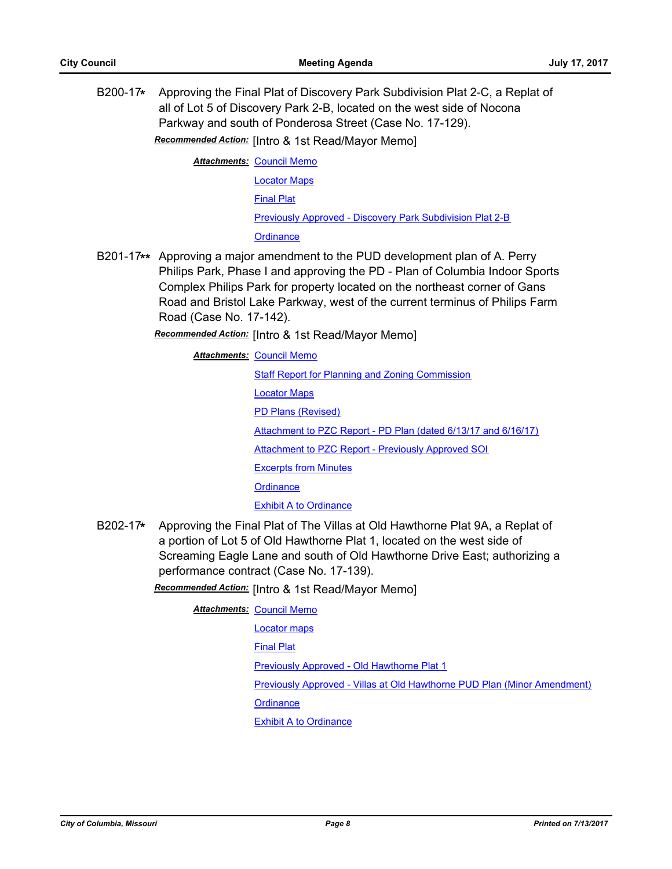B200-17**\*** Approving the Final Plat of Discovery Park Subdivision Plat 2-C, a Replat of all of Lot 5 of Discovery Park 2-B, located on the west side of Nocona Parkway and south of Ponderosa Street (Case No. 17-129).

*Recommended Action:* [Intro & 1st Read/Mayor Memo]

**Attachments: [Council Memo](http://gocolumbiamo.legistar.com/gateway.aspx?M=F&ID=aa365108-b1f7-470c-bd71-de738ad55282.docx)** [Locator Maps](http://gocolumbiamo.legistar.com/gateway.aspx?M=F&ID=3bd43b75-a54c-425c-9a90-70ea4583d2e2.pdf) [Final Plat](http://gocolumbiamo.legistar.com/gateway.aspx?M=F&ID=f48863db-f09d-4071-8de5-12e0345c76b6.pdf) [Previously Approved - Discovery Park Subdivision Plat 2-B](http://gocolumbiamo.legistar.com/gateway.aspx?M=F&ID=ba3e34b4-6bba-43d4-9cb4-db6414436797.pdf) **[Ordinance](http://gocolumbiamo.legistar.com/gateway.aspx?M=F&ID=1186bf27-452d-42b5-8611-a9ef945d6d76.doc)** 

B201-17**\*\*** Approving a major amendment to the PUD development plan of A. Perry Philips Park, Phase I and approving the PD - Plan of Columbia Indoor Sports Complex Philips Park for property located on the northeast corner of Gans Road and Bristol Lake Parkway, west of the current terminus of Philips Farm Road (Case No. 17-142).

*Recommended Action:* [Intro & 1st Read/Mayor Memo]

**Attachments: [Council Memo](http://gocolumbiamo.legistar.com/gateway.aspx?M=F&ID=b32246df-4236-4009-852f-d65c594aa5d4.docx)** 

[Staff Report for Planning and Zoning Commission](http://gocolumbiamo.legistar.com/gateway.aspx?M=F&ID=1593d68e-1989-4475-9b6e-6393a45bb2c8.pdf)

[Locator Maps](http://gocolumbiamo.legistar.com/gateway.aspx?M=F&ID=a8bb79e4-e3d4-433e-898a-062cca91e2a1.pdf)

[PD Plans \(Revised\)](http://gocolumbiamo.legistar.com/gateway.aspx?M=F&ID=494ef747-45e9-41f6-9624-0c81ecc24f9f.pdf)

[Attachment to PZC Report - PD Plan \(dated 6/13/17 and 6/16/17\)](http://gocolumbiamo.legistar.com/gateway.aspx?M=F&ID=0911e559-cb13-4de8-ba03-c23860799c3e.pdf)

[Attachment to PZC Report - Previously Approved SOI](http://gocolumbiamo.legistar.com/gateway.aspx?M=F&ID=5259e904-072e-4671-812f-5eab4b5326aa.pdf)

[Excerpts from Minutes](http://gocolumbiamo.legistar.com/gateway.aspx?M=F&ID=e4f4384d-9957-4ed2-9254-d48066d0da83.docx)

**[Ordinance](http://gocolumbiamo.legistar.com/gateway.aspx?M=F&ID=c0f8c5a1-a68f-4ade-b0ad-d913be3ea586.doc)** 

[Exhibit A to Ordinance](http://gocolumbiamo.legistar.com/gateway.aspx?M=F&ID=a576a89e-2fc6-42f8-b576-60b2860229cb.pdf)

B202-17**\*** Approving the Final Plat of The Villas at Old Hawthorne Plat 9A, a Replat of a portion of Lot 5 of Old Hawthorne Plat 1, located on the west side of Screaming Eagle Lane and south of Old Hawthorne Drive East; authorizing a performance contract (Case No. 17-139).

*Recommended Action:* [Intro & 1st Read/Mayor Memo]

**Attachments: [Council Memo](http://gocolumbiamo.legistar.com/gateway.aspx?M=F&ID=5d09c54e-2aa2-47c0-932d-70552435496f.docx)** [Locator maps](http://gocolumbiamo.legistar.com/gateway.aspx?M=F&ID=530fdf38-419f-4ef6-b0a7-964caaeccb22.pdf) [Final Plat](http://gocolumbiamo.legistar.com/gateway.aspx?M=F&ID=c73fc942-52c3-4939-8799-795d5a7439a7.pdf) [Previously Approved - Old Hawthorne Plat 1](http://gocolumbiamo.legistar.com/gateway.aspx?M=F&ID=1085f7f1-60a8-4075-aa15-e0724404e291.pdf) [Previously Approved - Villas at Old Hawthorne PUD Plan \(Minor Amendment\)](http://gocolumbiamo.legistar.com/gateway.aspx?M=F&ID=5ff7c6f7-d3e7-4115-889e-89f3c2afc4d8.pdf) **[Ordinance](http://gocolumbiamo.legistar.com/gateway.aspx?M=F&ID=fc1ce9f0-70e4-4dda-861a-207e5e34cfe3.doc)** [Exhibit A to Ordinance](http://gocolumbiamo.legistar.com/gateway.aspx?M=F&ID=f96d15f3-c42c-43c0-889e-f82b6bbf241a.pdf)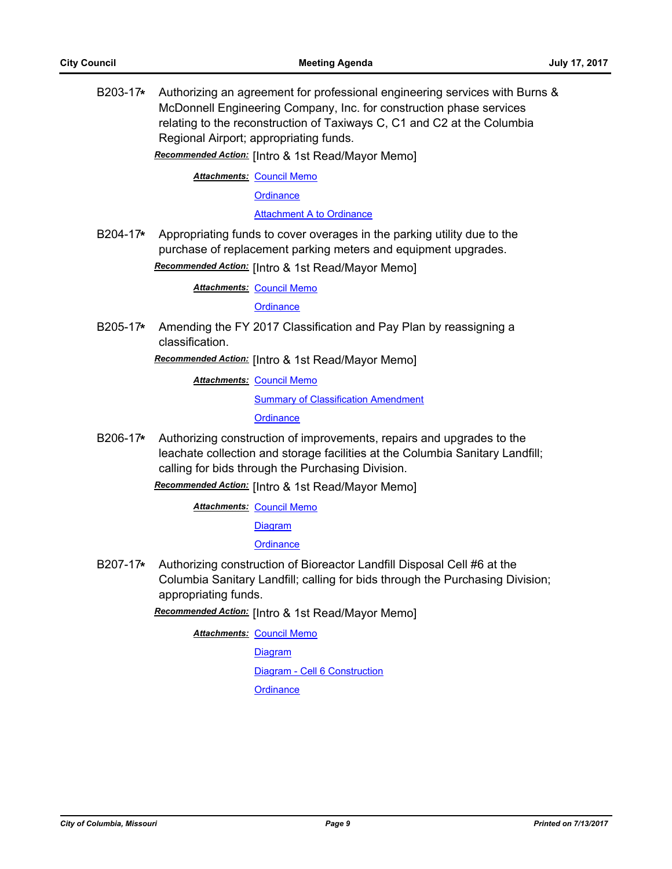B203-17**\*** Authorizing an agreement for professional engineering services with Burns & McDonnell Engineering Company, Inc. for construction phase services relating to the reconstruction of Taxiways C, C1 and C2 at the Columbia Regional Airport; appropriating funds.

*Recommended Action:* [Intro & 1st Read/Mayor Memo]

**Attachments: [Council Memo](http://gocolumbiamo.legistar.com/gateway.aspx?M=F&ID=073bb777-8fe0-4983-9388-2c1a86af3448.docx)** 

**[Ordinance](http://gocolumbiamo.legistar.com/gateway.aspx?M=F&ID=7e7363de-f17b-4737-8be1-913724f3fc00.doc)** 

[Attachment A to Ordinance](http://gocolumbiamo.legistar.com/gateway.aspx?M=F&ID=549668a0-58ea-4056-bd31-33e2bf767824.pdf)

B204-17**\*** Appropriating funds to cover overages in the parking utility due to the purchase of replacement parking meters and equipment upgrades. *Recommended Action:* [Intro & 1st Read/Mayor Memo]

**Attachments: [Council Memo](http://gocolumbiamo.legistar.com/gateway.aspx?M=F&ID=2bd672db-5c1a-4f30-b378-a429c428261e.docx)** 

**[Ordinance](http://gocolumbiamo.legistar.com/gateway.aspx?M=F&ID=ffee7e89-fa73-4476-9141-1f52c5a92469.doc)** 

B205-17**\*** Amending the FY 2017 Classification and Pay Plan by reassigning a classification.

*Recommended Action:* [Intro & 1st Read/Mayor Memo]

**Attachments: [Council Memo](http://gocolumbiamo.legistar.com/gateway.aspx?M=F&ID=5ac1505e-bd72-4b12-bea8-cfb47c9a1e78.docx)** 

**[Summary of Classification Amendment](http://gocolumbiamo.legistar.com/gateway.aspx?M=F&ID=e32ebaa5-255f-4aba-a294-d2c7a7977cc3.doc)** 

**[Ordinance](http://gocolumbiamo.legistar.com/gateway.aspx?M=F&ID=22cd9a1b-e76d-4283-b00e-339254b218fe.doc)** 

B206-17**\*** Authorizing construction of improvements, repairs and upgrades to the leachate collection and storage facilities at the Columbia Sanitary Landfill; calling for bids through the Purchasing Division.

*Recommended Action:* [Intro & 1st Read/Mayor Memo]

**Attachments: [Council Memo](http://gocolumbiamo.legistar.com/gateway.aspx?M=F&ID=fecf1f4d-7da5-4ccd-bfdc-7d6af3605232.docx)** 

**[Diagram](http://gocolumbiamo.legistar.com/gateway.aspx?M=F&ID=fab6e6ee-ea47-44e8-8c02-f288f25e7c84.pdf)** 

**[Ordinance](http://gocolumbiamo.legistar.com/gateway.aspx?M=F&ID=0fff7c88-6665-464b-8562-a1a4cd5a47c0.doc)** 

B207-17**\*** Authorizing construction of Bioreactor Landfill Disposal Cell #6 at the Columbia Sanitary Landfill; calling for bids through the Purchasing Division; appropriating funds.

*Recommended Action:* [Intro & 1st Read/Mayor Memo]

**Attachments: [Council Memo](http://gocolumbiamo.legistar.com/gateway.aspx?M=F&ID=43e7e844-a6e1-42df-adcf-e2b7fa1995b6.docx)** [Diagram](http://gocolumbiamo.legistar.com/gateway.aspx?M=F&ID=d82d7af4-a796-46b7-9387-bb7f9134a069.pdf) [Diagram - Cell 6 Construction](http://gocolumbiamo.legistar.com/gateway.aspx?M=F&ID=b645f371-2b92-42b2-a91d-64b132fc37dc.pdf) **[Ordinance](http://gocolumbiamo.legistar.com/gateway.aspx?M=F&ID=f5e7937c-850e-4b4c-aac1-4f301cd8014e.doc)**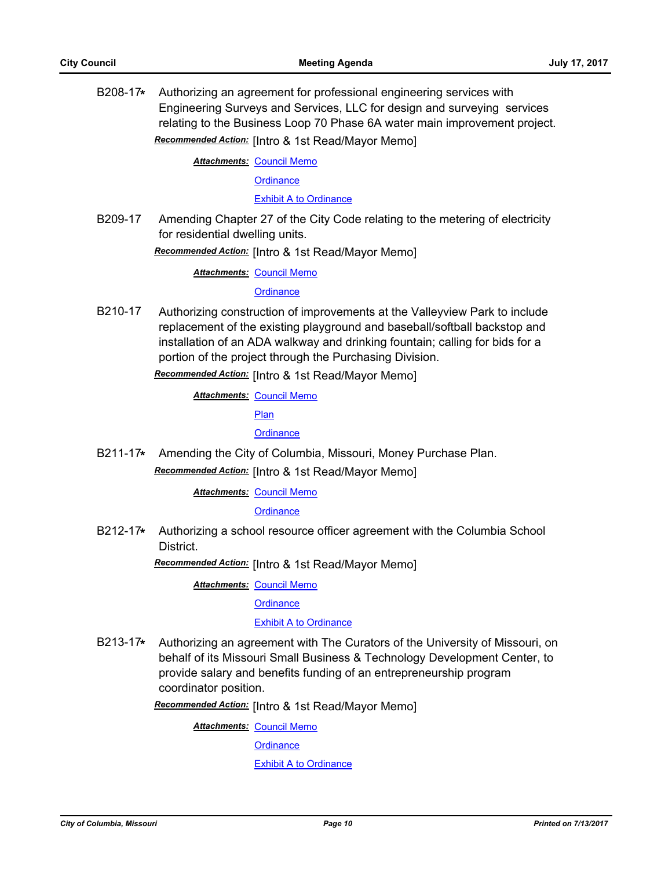B208-17**\*** Authorizing an agreement for professional engineering services with Engineering Surveys and Services, LLC for design and surveying services relating to the Business Loop 70 Phase 6A water main improvement project.

*Recommended Action:* [Intro & 1st Read/Mayor Memo]

**Attachments: [Council Memo](http://gocolumbiamo.legistar.com/gateway.aspx?M=F&ID=595e5193-bde3-4c7b-969c-bedc8edfb00c.docx) [Ordinance](http://gocolumbiamo.legistar.com/gateway.aspx?M=F&ID=7fd48206-2ed4-4363-8342-c8d740606310.doc)** 

[Exhibit A to Ordinance](http://gocolumbiamo.legistar.com/gateway.aspx?M=F&ID=60ad709f-be1f-4298-8dbd-238a786868ea.pdf)

B209-17 Amending Chapter 27 of the City Code relating to the metering of electricity for residential dwelling units.

*Recommended Action:* [Intro & 1st Read/Mayor Memo]

**Attachments: [Council Memo](http://gocolumbiamo.legistar.com/gateway.aspx?M=F&ID=400517b3-2b89-4bd2-bd73-7b4e05f50451.docx)** 

#### **[Ordinance](http://gocolumbiamo.legistar.com/gateway.aspx?M=F&ID=e236ad3a-6ebd-41de-a032-f30a04014205.doc)**

B210-17 Authorizing construction of improvements at the Valleyview Park to include replacement of the existing playground and baseball/softball backstop and installation of an ADA walkway and drinking fountain; calling for bids for a portion of the project through the Purchasing Division.

*Recommended Action:* [Intro & 1st Read/Mayor Memo]

**Attachments: [Council Memo](http://gocolumbiamo.legistar.com/gateway.aspx?M=F&ID=5e6a8ebe-bc18-45f2-bf23-7a05fab34960.docx)** 

**[Plan](http://gocolumbiamo.legistar.com/gateway.aspx?M=F&ID=2152ac3f-4eea-4e7c-ad8a-a4bbd2105a16.pdf)** 

**[Ordinance](http://gocolumbiamo.legistar.com/gateway.aspx?M=F&ID=9f815c2b-5067-41b5-9e32-e4cce28d2a49.doc)** 

B211-17**\*** Amending the City of Columbia, Missouri, Money Purchase Plan. *Recommended Action:* [Intro & 1st Read/Mayor Memo]

**Attachments: [Council Memo](http://gocolumbiamo.legistar.com/gateway.aspx?M=F&ID=3e87c540-a48c-4041-96be-c4ddda572aaf.docx)** 

**[Ordinance](http://gocolumbiamo.legistar.com/gateway.aspx?M=F&ID=de740146-7f8b-4b04-bd72-115100404ccd.doc)** 

B212-17**\*** Authorizing a school resource officer agreement with the Columbia School District.

*Recommended Action:* [Intro & 1st Read/Mayor Memo]

**Attachments: [Council Memo](http://gocolumbiamo.legistar.com/gateway.aspx?M=F&ID=832d4462-2482-42f6-b5f9-76e4b3a9561c.docx)** 

**[Ordinance](http://gocolumbiamo.legistar.com/gateway.aspx?M=F&ID=18ae0614-f74a-4cbe-926b-02af145843f0.doc)** 

#### **[Exhibit A to Ordinance](http://gocolumbiamo.legistar.com/gateway.aspx?M=F&ID=4b90bbff-3fee-45e4-81f4-ebf894c76b0f.pdf)**

B213-17**\*** Authorizing an agreement with The Curators of the University of Missouri, on behalf of its Missouri Small Business & Technology Development Center, to provide salary and benefits funding of an entrepreneurship program coordinator position.

*Recommended Action:* [Intro & 1st Read/Mayor Memo]

**Attachments: [Council Memo](http://gocolumbiamo.legistar.com/gateway.aspx?M=F&ID=a44b5484-9544-4e90-9e96-3b6a3c9c7e5e.docx)** 

**[Ordinance](http://gocolumbiamo.legistar.com/gateway.aspx?M=F&ID=dc7e601c-6741-4a31-89db-266edc8b7864.doc)** 

[Exhibit A to Ordinance](http://gocolumbiamo.legistar.com/gateway.aspx?M=F&ID=7bfa86ea-e051-486f-8257-ebc78d4bfe04.pdf)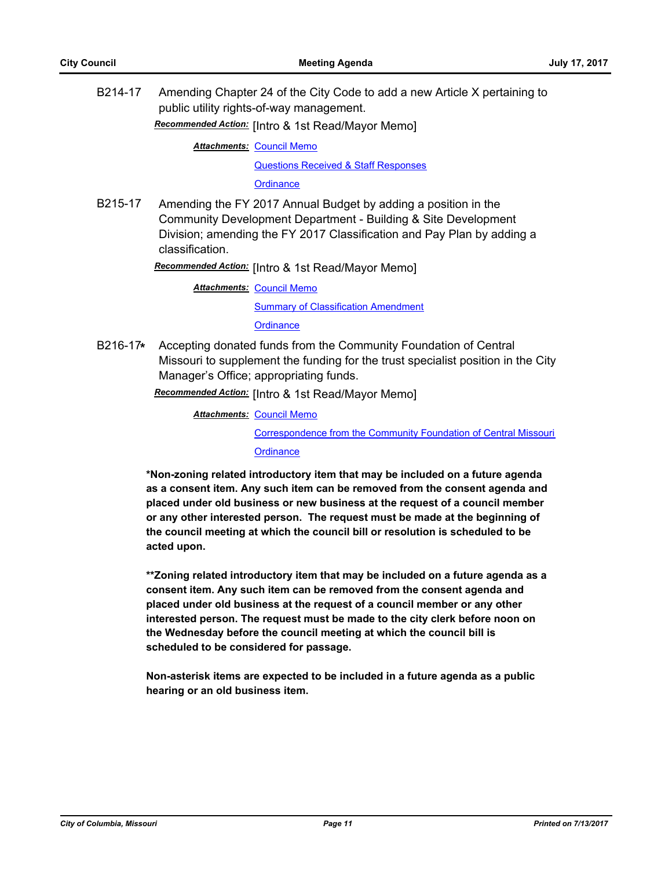B214-17 Amending Chapter 24 of the City Code to add a new Article X pertaining to public utility rights-of-way management.

*Recommended Action:* [Intro & 1st Read/Mayor Memo]

**Attachments: [Council Memo](http://gocolumbiamo.legistar.com/gateway.aspx?M=F&ID=40e25aca-f726-4934-9a38-bcf225a2244f.docx)** 

[Questions Received & Staff Responses](http://gocolumbiamo.legistar.com/gateway.aspx?M=F&ID=fc6d749b-2a40-4d21-afc2-a2290a98d1a7.pdf)

**[Ordinance](http://gocolumbiamo.legistar.com/gateway.aspx?M=F&ID=e0e3ad1d-c174-4ab3-bf71-ec12b743ebc5.doc)** 

B215-17 Amending the FY 2017 Annual Budget by adding a position in the Community Development Department - Building & Site Development Division; amending the FY 2017 Classification and Pay Plan by adding a classification.

*Recommended Action:* [Intro & 1st Read/Mayor Memo]

**Attachments: [Council Memo](http://gocolumbiamo.legistar.com/gateway.aspx?M=F&ID=0a14a67b-0467-4a92-b0d1-a49b6eeac1fc.docx)** [Summary of Classification Amendment](http://gocolumbiamo.legistar.com/gateway.aspx?M=F&ID=a7cc0883-d8d0-4e29-ab06-1b5109d5a563.doc) **[Ordinance](http://gocolumbiamo.legistar.com/gateway.aspx?M=F&ID=3dfbcf4b-016b-4748-9d7b-a883f18bafe9.doc)** 

B216-17**\*** Accepting donated funds from the Community Foundation of Central Missouri to supplement the funding for the trust specialist position in the City Manager's Office; appropriating funds.

*Recommended Action:* [Intro & 1st Read/Mayor Memo]

**Attachments: [Council Memo](http://gocolumbiamo.legistar.com/gateway.aspx?M=F&ID=04024f2d-bcbe-4a78-bd23-fb379fe1cc02.docx)** [Correspondence from the Community Foundation of Central Missouri](http://gocolumbiamo.legistar.com/gateway.aspx?M=F&ID=8076d3e8-07a5-47ad-bbaa-14aff10b25ba.pdf) **[Ordinance](http://gocolumbiamo.legistar.com/gateway.aspx?M=F&ID=5cc0796e-e257-457e-ad63-a44035c23e8a.doc)** 

**\*Non-zoning related introductory item that may be included on a future agenda as a consent item. Any such item can be removed from the consent agenda and placed under old business or new business at the request of a council member or any other interested person. The request must be made at the beginning of the council meeting at which the council bill or resolution is scheduled to be acted upon.** 

**\*\*Zoning related introductory item that may be included on a future agenda as a consent item. Any such item can be removed from the consent agenda and placed under old business at the request of a council member or any other interested person. The request must be made to the city clerk before noon on the Wednesday before the council meeting at which the council bill is scheduled to be considered for passage.**

**Non-asterisk items are expected to be included in a future agenda as a public hearing or an old business item.**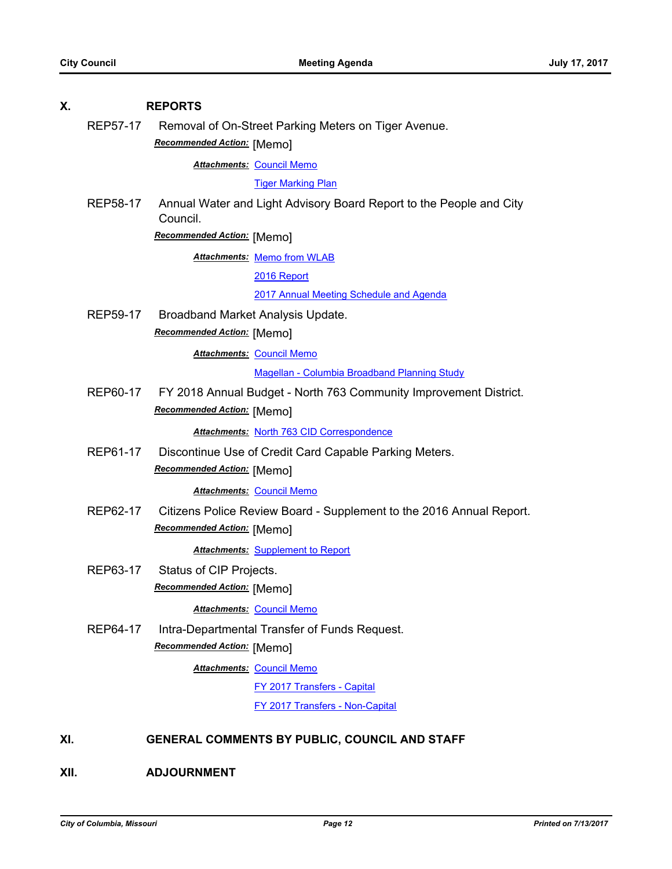# **X. REPORTS** REP57-17 Removal of On-Street Parking Meters on Tiger Avenue. *Recommended Action:* [Memo] **Attachments: [Council Memo](http://gocolumbiamo.legistar.com/gateway.aspx?M=F&ID=79a0e273-96ec-42d2-bda5-7218f334de66.docx) [Tiger Marking Plan](http://gocolumbiamo.legistar.com/gateway.aspx?M=F&ID=43206810-9682-436d-8610-a11dfd3e3d5b.pdf)** REP58-17 Annual Water and Light Advisory Board Report to the People and City Council. *Recommended Action:* [Memo] **Attachments: [Memo from WLAB](http://gocolumbiamo.legistar.com/gateway.aspx?M=F&ID=ff7b0c0a-8916-478e-92fb-7a7efe5e7cc2.pdf)** [2016 Report](http://gocolumbiamo.legistar.com/gateway.aspx?M=F&ID=7f7fbef6-256a-4054-b8c8-04874e0d1708.pptx) [2017 Annual Meeting Schedule and Agenda](http://gocolumbiamo.legistar.com/gateway.aspx?M=F&ID=41d44428-bd77-44cf-860f-648858dd7ea8.pdf) REP59-17 Broadband Market Analysis Update. *Recommended Action:* [Memo] **Attachments: [Council Memo](http://gocolumbiamo.legistar.com/gateway.aspx?M=F&ID=70d45cd8-ed38-4fc2-b31f-6a5fe1db2cf0.docx)** [Magellan - Columbia Broadband Planning Study](http://gocolumbiamo.legistar.com/gateway.aspx?M=F&ID=b868f389-b3e7-493b-89a4-f5a4dfc670c5.pdf) REP60-17 FY 2018 Annual Budget - North 763 Community Improvement District. *Recommended Action:* [Memo] *Attachments:* [North 763 CID Correspondence](http://gocolumbiamo.legistar.com/gateway.aspx?M=F&ID=c8c21a0f-81de-45fe-95be-e6d90ec08314.pdf) REP61-17 Discontinue Use of Credit Card Capable Parking Meters. *Recommended Action:* [Memo] **Attachments: [Council Memo](http://gocolumbiamo.legistar.com/gateway.aspx?M=F&ID=a1a7123f-68d9-42a9-be7e-e863bfdba817.docx)** REP62-17 Citizens Police Review Board - Supplement to the 2016 Annual Report. *Recommended Action:* [Memo] *Attachments:* [Supplement to Report](http://gocolumbiamo.legistar.com/gateway.aspx?M=F&ID=7c70edf4-0021-45fc-8e8f-518f243210a3.pdf) REP63-17 Status of CIP Projects. *Recommended Action:* [Memo] **Attachments: [Council Memo](http://gocolumbiamo.legistar.com/gateway.aspx?M=F&ID=fe8bb236-bdb5-4326-b39c-c6407705806f.docx)** REP64-17 Intra-Departmental Transfer of Funds Request. *Recommended Action:* [Memo] **Attachments: [Council Memo](http://gocolumbiamo.legistar.com/gateway.aspx?M=F&ID=424a6f08-d215-4efc-853e-9ec849ef908d.docx)** [FY 2017 Transfers - Capital](http://gocolumbiamo.legistar.com/gateway.aspx?M=F&ID=fdd4520e-aea7-4363-9a39-17a6f98b31ae.pdf) [FY 2017 Transfers - Non-Capital](http://gocolumbiamo.legistar.com/gateway.aspx?M=F&ID=7aa924eb-ded6-46be-895a-93867c8f7b5a.pdf) **XI. GENERAL COMMENTS BY PUBLIC, COUNCIL AND STAFF**

**XII. ADJOURNMENT**